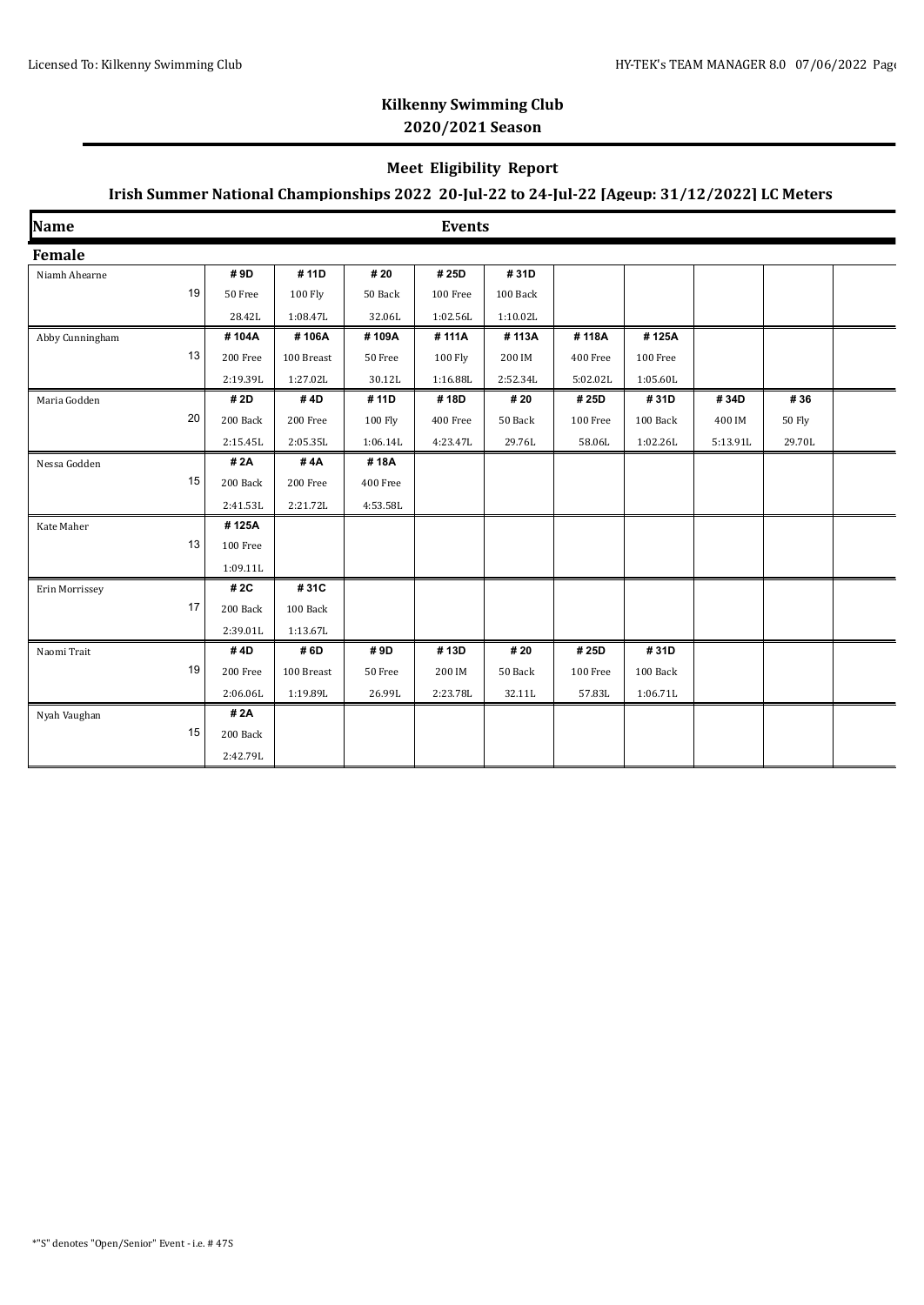## **Kilkenny Swimming Club 2020/2021 Season**

### **Meet Eligibility Report**

## **Irish Summer National Championships 2022 20-Jul-22 to 24-Jul-22 [Ageup: 31/12/2022] LC Meters**

| Name            |    |          |            |          | <b>Events</b>  |          |          |          |          |        |  |
|-----------------|----|----------|------------|----------|----------------|----------|----------|----------|----------|--------|--|
| Female          |    |          |            |          |                |          |          |          |          |        |  |
| Niamh Ahearne   |    | #9D      | #11D       | # 20     | #25D           | #31D     |          |          |          |        |  |
|                 | 19 | 50 Free  | 100 Fly    | 50 Back  | 100 Free       | 100 Back |          |          |          |        |  |
|                 |    | 28.42L   | 1:08.47L   | 32.06L   | 1:02.56L       | 1:10.02L |          |          |          |        |  |
| Abby Cunningham |    | #104A    | #106A      | #109A    | #111A          | #113A    | #118A    | #125A    |          |        |  |
|                 | 13 | 200 Free | 100 Breast | 50 Free  | <b>100 Fly</b> | 200 IM   | 400 Free | 100 Free |          |        |  |
|                 |    | 2:19.39L | 1:27.02L   | 30.12L   | 1:16.88L       | 2:52.34L | 5:02.02L | 1:05.60L |          |        |  |
| Maria Godden    |    | # 2D     | #4D        | #11D     | #18D           | # 20     | # 25D    | #31D     | #34D     | #36    |  |
|                 | 20 | 200 Back | 200 Free   | 100 Fly  | 400 Free       | 50 Back  | 100 Free | 100 Back | 400 IM   | 50 Fly |  |
|                 |    | 2:15.45L | 2:05.35L   | 1:06.14L | 4:23.47L       | 29.76L   | 58.06L   | 1:02.26L | 5:13.91L | 29.70L |  |
| Nessa Godden    |    | #2A      | #4A        | #18A     |                |          |          |          |          |        |  |
|                 | 15 | 200 Back | 200 Free   | 400 Free |                |          |          |          |          |        |  |
|                 |    | 2:41.53L | 2:21.72L   | 4:53.58L |                |          |          |          |          |        |  |
| Kate Maher      |    | #125A    |            |          |                |          |          |          |          |        |  |
|                 | 13 | 100 Free |            |          |                |          |          |          |          |        |  |
|                 |    | 1:09.11L |            |          |                |          |          |          |          |        |  |
| Erin Morrissey  |    | # 2C     | #31C       |          |                |          |          |          |          |        |  |
|                 | 17 | 200 Back | 100 Back   |          |                |          |          |          |          |        |  |
|                 |    | 2:39.01L | 1:13.67L   |          |                |          |          |          |          |        |  |
| Naomi Trait     |    | #4D      | #6D        | #9D      | #13D           | # 20     | #25D     | #31D     |          |        |  |
| 19              |    | 200 Free | 100 Breast | 50 Free  | 200 IM         | 50 Back  | 100 Free | 100 Back |          |        |  |
|                 |    | 2:06.06L | 1:19.89L   | 26.99L   | 2:23.78L       | 32.11L   | 57.83L   | 1:06.71L |          |        |  |
| Nyah Vaughan    |    | # 2A     |            |          |                |          |          |          |          |        |  |
|                 | 15 | 200 Back |            |          |                |          |          |          |          |        |  |
|                 |    | 2:42.79L |            |          |                |          |          |          |          |        |  |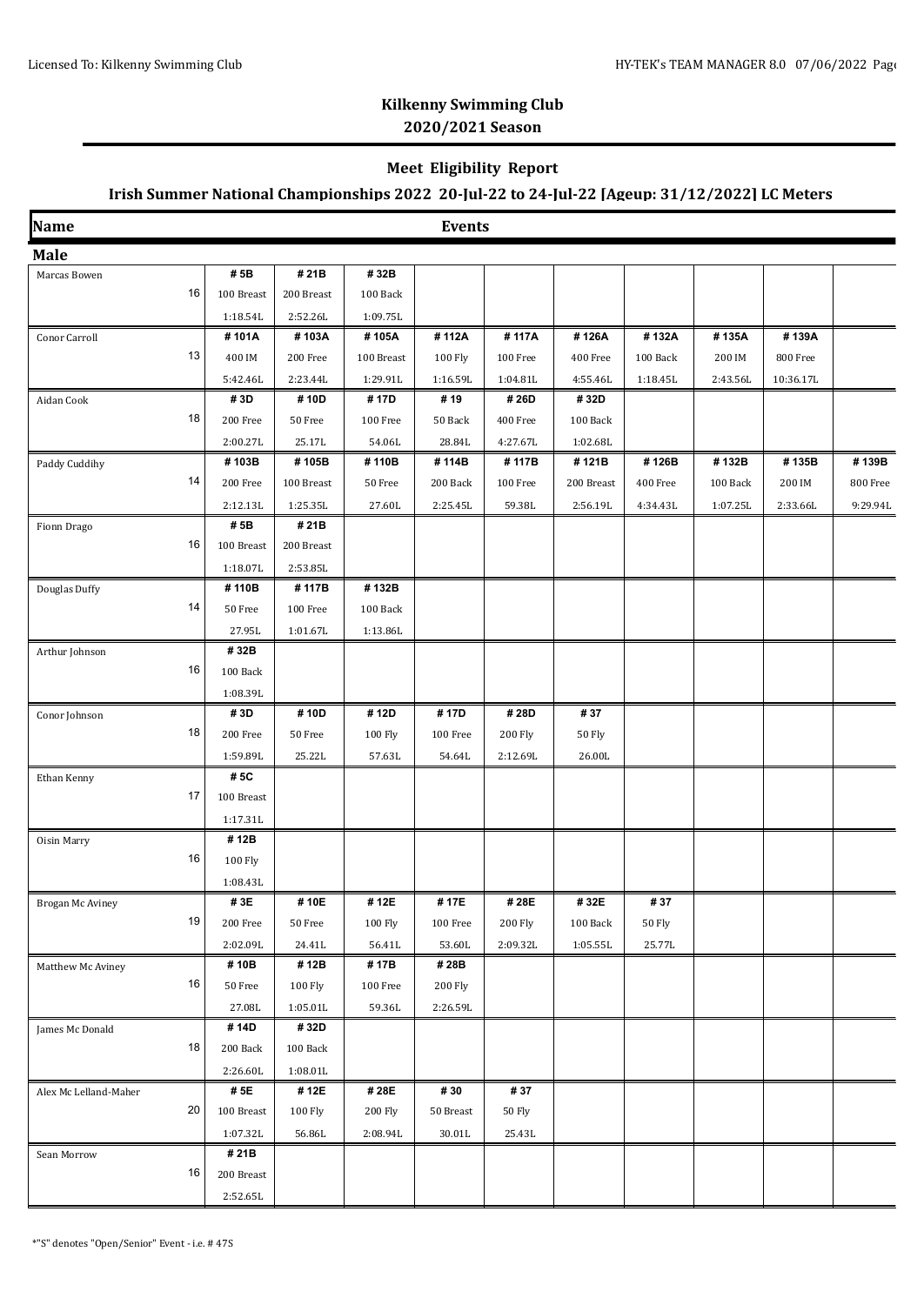### **Kilkenny Swimming Club 2020/2021 Season**

#### **Meet Eligibility Report**

## **Irish Summer National Championships 2022 20-Jul-22 to 24-Jul-22 [Ageup: 31/12/2022] LC Meters**

| Name                  |                         |                   |            | <b>Events</b>    |                |               |               |          |           |          |
|-----------------------|-------------------------|-------------------|------------|------------------|----------------|---------------|---------------|----------|-----------|----------|
| Male                  |                         |                   |            |                  |                |               |               |          |           |          |
| Marcas Bowen          | #5B                     | #21B              | #32B       |                  |                |               |               |          |           |          |
| 16                    | 100 Breast              | 200 Breast        | 100 Back   |                  |                |               |               |          |           |          |
|                       | 1:18.54L                | 2:52.26L          | 1:09.75L   |                  |                |               |               |          |           |          |
| Conor Carroll         | #101A                   | #103A             | #105A      | #112A            | #117A          | #126A         | #132A         | #135A    | #139A     |          |
| 13                    | 400 IM                  | 200 Free          | 100 Breast | 100 Fly          | 100 Free       | 400 Free      | 100 Back      | 200 IM   | 800 Free  |          |
|                       | 5:42.46L                | 2:23.44L          | 1:29.91L   | 1:16.59L         | 1:04.81L       | 4:55.46L      | 1:18.45L      | 2:43.56L | 10:36.17L |          |
| Aidan Cook            | #3D                     | #10D              | #17D       | #19              | #26D           | #32D          |               |          |           |          |
| 18                    | 200 Free                | 50 Free           | 100 Free   | 50 Back          | 400 Free       | 100 Back      |               |          |           |          |
|                       | 2:00.27L                | 25.17L            | 54.06L     | 28.84L           | 4:27.67L       | 1:02.68L      |               |          |           |          |
| Paddy Cuddihy         | #103B                   | #105B             | #110B      | #114B            | #117B          | #121B         | #126B         | #132B    | #135B     | #139B    |
| 14                    | 200 Free                | 100 Breast        | 50 Free    | 200 Back         | 100 Free       | 200 Breast    | 400 Free      | 100 Back | 200 IM    | 800 Free |
|                       | 2:12.13L                | 1:25.35L          | 27.60L     | 2:25.45L         | 59.38L         | 2:56.19L      | 4:34.43L      | 1:07.25L | 2:33.66L  | 9:29.94L |
| Fionn Drago           | # 5B                    | #21B              |            |                  |                |               |               |          |           |          |
| 16                    | $100\,\, {\rm B}$ reast | 200 Breast        |            |                  |                |               |               |          |           |          |
|                       | 1:18.07L                | 2:53.85L          |            |                  |                |               |               |          |           |          |
| Douglas Duffy         | #110B                   | #117B             | #132B      |                  |                |               |               |          |           |          |
| 14                    | 50 Free                 | 100 Free          | 100 Back   |                  |                |               |               |          |           |          |
|                       | 27.95L                  | 1:01.67L          | 1:13.86L   |                  |                |               |               |          |           |          |
| Arthur Johnson        | #32B                    |                   |            |                  |                |               |               |          |           |          |
| 16                    | 100 Back                |                   |            |                  |                |               |               |          |           |          |
|                       | 1:08.39L                |                   |            |                  |                |               |               |          |           |          |
| Conor Johnson         | #3D                     | #10D              | #12D       | #17D             | #28D           | #37           |               |          |           |          |
| 18                    | 200 Free                | 50 Free           | 100 Fly    | 100 Free         | <b>200 Fly</b> | <b>50 Fly</b> |               |          |           |          |
|                       | 1:59.89L                | 25.22L            | 57.63L     | 54.64L           | 2:12.69L       | 26.00L        |               |          |           |          |
| Ethan Kenny           | #5C                     |                   |            |                  |                |               |               |          |           |          |
| 17                    | $100\,\, {\rm B}$ reast |                   |            |                  |                |               |               |          |           |          |
|                       | 1:17.31L                |                   |            |                  |                |               |               |          |           |          |
| Oisin Marry           | #12B                    |                   |            |                  |                |               |               |          |           |          |
| 16                    | 100 Fly                 |                   |            |                  |                |               |               |          |           |          |
|                       | 1:08.43L                |                   |            |                  |                |               |               |          |           |          |
| Brogan Mc Aviney      | #3E                     | #10E              | #12E       | # 17E            | # 28E          | #32E          | #37           |          |           |          |
| 19                    | 200 Free                | 50 Free           | 100 Fly    | $100\ \rm{Free}$ | <b>200 Fly</b> | 100 Back      | <b>50 Fly</b> |          |           |          |
|                       | 2:02.09L                | 24.41L            | 56.41L     | 53.60L           | 2:09.32L       | 1:05.55L      | 25.77L        |          |           |          |
| Matthew Mc Aviney     | #10B                    | #12B              | #17B       | #28B             |                |               |               |          |           |          |
| 16                    | 50 Free                 | 100 Fly           | 100 Free   | <b>200 Fly</b>   |                |               |               |          |           |          |
|                       | 27.08L                  | 1:05.01L          | 59.36L     | 2:26.59L         |                |               |               |          |           |          |
| James Mc Donald       | #14D                    | #32D              |            |                  |                |               |               |          |           |          |
| 18                    | 200 Back                | $100\text{ Back}$ |            |                  |                |               |               |          |           |          |
|                       | 2:26.60L                | 1:08.01L          |            |                  |                |               |               |          |           |          |
| Alex Mc Lelland-Maher | # 5E                    | #12E              | #28E       | #30              | #37            |               |               |          |           |          |
| 20                    | $100\,\, {\rm B}$ reast | 100 Fly           | 200 Fly    | 50 Breast        | 50 Fly         |               |               |          |           |          |
|                       | 1:07.32L                | 56.86L            | 2:08.94L   | 30.01L           | 25.43L         |               |               |          |           |          |
| Sean Morrow           | #21B                    |                   |            |                  |                |               |               |          |           |          |
| 16                    | 200 Breast              |                   |            |                  |                |               |               |          |           |          |
|                       | 2:52.65L                |                   |            |                  |                |               |               |          |           |          |